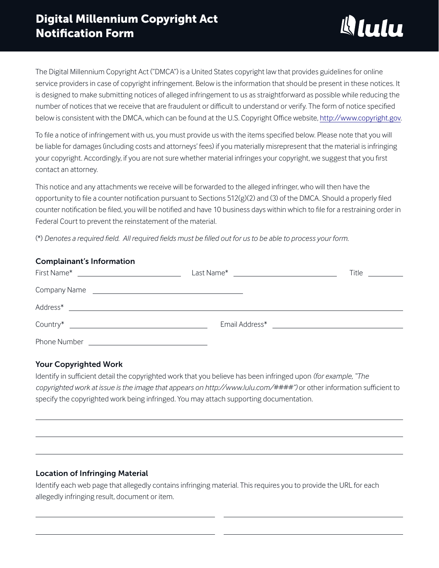# Digital Millennium Copyright Act Notification Form



The Digital Millennium Copyright Act ("DMCA") is a United States copyright law that provides guidelines for online service providers in case of copyright infringement. Below is the information that should be present in these notices. It is designed to make submitting notices of alleged infringement to us as straightforward as possible while reducing the number of notices that we receive that are fraudulent or difficult to understand or verify. The form of notice specified below is consistent with the DMCA, which can be found at the U.S. Copyright Office website, [http://www.copyright.gov.](http://www.copyright.gov)

To file a notice of infringement with us, you must provide us with the items specified below. Please note that you will be liable for damages (including costs and attorneys' fees) if you materially misrepresent that the material is infringing your copyright. Accordingly, if you are not sure whether material infringes your copyright, we suggest that you first contact an attorney.

This notice and any attachments we receive will be forwarded to the alleged infringer, who will then have the opportunity to file a counter notification pursuant to Sections 512(g)(2) and (3) of the DMCA. Should a properly filed counter notification be filed, you will be notified and have 10 business days within which to file for a restraining order in Federal Court to prevent the reinstatement of the material.

(\*) *Denotes a required field. All required fields must be filled out for us to be able to process your form.*

| <b>Complainant's Information</b>                                                                                                                                                                                                                                                                                                                                    |              |
|---------------------------------------------------------------------------------------------------------------------------------------------------------------------------------------------------------------------------------------------------------------------------------------------------------------------------------------------------------------------|--------------|
|                                                                                                                                                                                                                                                                                                                                                                     | Title $\_\_$ |
|                                                                                                                                                                                                                                                                                                                                                                     |              |
|                                                                                                                                                                                                                                                                                                                                                                     |              |
| $\begin{picture}(25,10) \put(0,0){\vector(1,0){100}} \put(15,0){\vector(1,0){100}} \put(15,0){\vector(1,0){100}} \put(15,0){\vector(1,0){100}} \put(15,0){\vector(1,0){100}} \put(15,0){\vector(1,0){100}} \put(15,0){\vector(1,0){100}} \put(15,0){\vector(1,0){100}} \put(15,0){\vector(1,0){100}} \put(15,0){\vector(1,0){100}} \put(15,0){\vector(1,0){100}} \$ |              |
|                                                                                                                                                                                                                                                                                                                                                                     |              |

# Your Copyrighted Work

Identify in sufficient detail the copyrighted work that you believe has been infringed upon *(for example, "The copyrighted work at issue is the image that appears on http://www.lulu.com/####")* or other information sufficient to specify the copyrighted work being infringed. You may attach supporting documentation.

## Location of Infringing Material

Identify each web page that allegedly contains infringing material. This requires you to provide the URL for each allegedly infringing result, document or item.